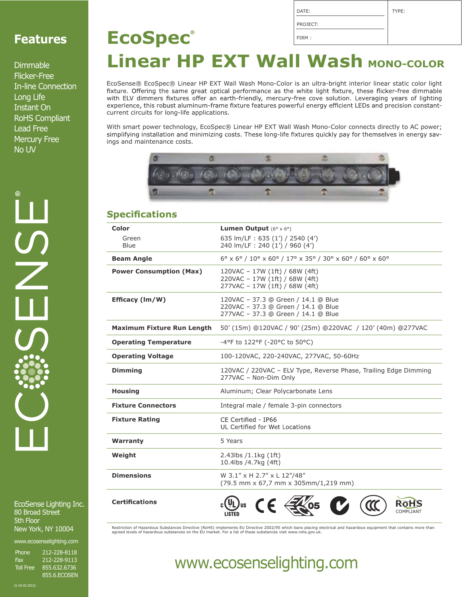### **Features**

Dimmable Flicker-Free In-line Connection Long Life Instant On RoHS Compliant Lead Free Mercury Free No UV

EcoSense Lighting Inc. 80 Broad Street 5th Floor New York, NY 10004

www.ecosenselighting.com

Phone 212-228-8118<br>Fax 212-228-9113 Fax 212-228-9113<br>
Toll Free 855.632.6736 Toll Free 855.632.6736 855.6.ECOSEN

| <b>EcoSpec</b> ®                          | FIRM: |
|-------------------------------------------|-------|
| <b>Linear HP EXT Wall Wash MONO-COLOR</b> |       |

DATE: PROJECT: TYPE:

EcoSense® EcoSpec® Linear HP EXT Wall Wash Mono-Color is an ultra-bright interior linear static color light<br>fixture. Offering the same great optical performance as the white light fixture, these flicker-free dimmable with ELV dimmers fixtures offer an earth-friendly, mercury-free cove solution. Leveraging years of lighting experience, this robust aluminum-frame fixture features powerful energy efficient LEDs and precision constantcurrent circuits for long-life applications.

With smart power technology, EcoSpec® Linear HP EXT Wall Wash Mono-Color connects directly to AC power; simplifying installation and minimizing costs. These long-life fixtures quickly pay for themselves in energy savings and maintenance costs.



#### **Specifications**

| Color                             | <b>Lumen Output</b> $(6^{\circ} \times 6^{\circ})$                                                                                                     |  |
|-----------------------------------|--------------------------------------------------------------------------------------------------------------------------------------------------------|--|
| Green<br>Blue                     | 635 lm/LF: 635 (1') / 2540 (4')<br>240 lm/LF: 240 (1') / 960 (4')                                                                                      |  |
| <b>Beam Angle</b>                 | $6^{\circ}$ x $6^{\circ}$ / $10^{\circ}$ x $60^{\circ}$ / $17^{\circ}$ x 35 $^{\circ}$ / 30 $^{\circ}$ x 60 $^{\circ}$ / 60 $^{\circ}$ x 60 $^{\circ}$ |  |
| <b>Power Consumption (Max)</b>    | 120VAC - 17W (1ft) / 68W (4ft)<br>220VAC - 17W (1ft) / 68W (4ft)<br>277VAC - 17W (1ft) / 68W (4ft)                                                     |  |
| Efficacy (lm/W)                   | 120VAC - 37.3 @ Green / 14.1 @ Blue<br>220VAC - 37.3 @ Green / 14.1 @ Blue<br>277VAC - 37.3 @ Green / 14.1 @ Blue                                      |  |
| <b>Maximum Fixture Run Length</b> | 50' (15m) @120VAC / 90' (25m) @220VAC / 120' (40m) @277VAC                                                                                             |  |
| <b>Operating Temperature</b>      | -4°F to 122°F (-20°C to 50°C)                                                                                                                          |  |
| <b>Operating Voltage</b>          | 100-120VAC, 220-240VAC, 277VAC, 50-60Hz                                                                                                                |  |
| <b>Dimming</b>                    | 120VAC / 220VAC - ELV Type, Reverse Phase, Trailing Edge Dimming<br>277VAC - Non-Dim Only                                                              |  |
| <b>Housing</b>                    | Aluminum; Clear Polycarbonate Lens                                                                                                                     |  |
| <b>Fixture Connectors</b>         | Integral male / female 3-pin connectors                                                                                                                |  |
| <b>Fixture Rating</b>             | CE Certified - IP66<br>UL Certified for Wet Locations                                                                                                  |  |
| Warranty                          | 5 Years                                                                                                                                                |  |
| Weight                            | $2.43$ lbs $/1.1$ kg $(1ft)$<br>10.4lbs /4.7kg (4ft)                                                                                                   |  |
| <b>Dimensions</b>                 | W 3.1" x H 2.7" x L 12"/48"<br>(79.5 mm x 67,7 mm x 305mm/1,219 mm)                                                                                    |  |
| <b>Certifications</b>             | RoHs<br>COMPLIANT                                                                                                                                      |  |

Restriction of Hazardous Substances Directive (RoHS) implements EU Directive 2002/95 which bans placing electrical and hazardous equipment that contains more than agreed levels of hazardous substances on the EU market. For a list of these substances visit www.rohs.gov.uk.

## www.ecosenselighting.com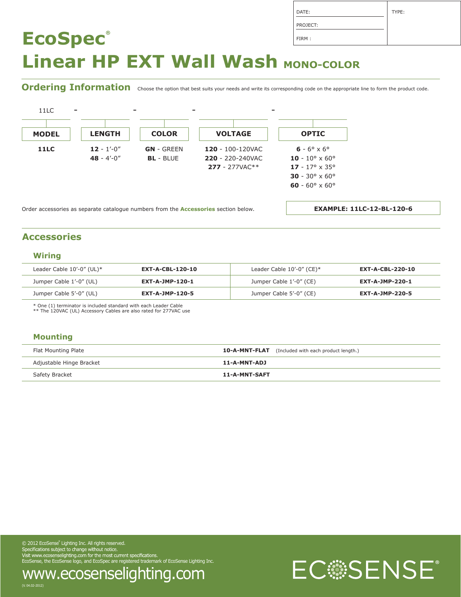| DATE:    | TYPE: |
|----------|-------|
| PROJECT: |       |
| FIRM:    |       |

## **EcoSpec® Linear HP EXT Wall Wash MONO-COLOR**

Ordering Information choose the option that best suits your needs and write its corresponding code on the appropriate line to form the product code.



Order accessories as separate catalogue numbers from the **Accessories** section below.

**EXAMPLE: 11LC-12-BL-120-6**

#### **Accessories**

#### **Wiring**

| Leader Cable $10'$ -0" (UL)* | <b>EXT-A-CBL-120-10</b> | Leader Cable $10'-0''$ (CE)* | EXT-A-CBL-220-10       |
|------------------------------|-------------------------|------------------------------|------------------------|
| Jumper Cable 1'-0" (UL)      | <b>EXT-A-JMP-120-1</b>  | Jumper Cable 1'-0" (CE)      | <b>EXT-A-JMP-220-1</b> |
| Jumper Cable 5'-0" (UL)      | <b>EXT-A-JMP-120-5</b>  | Jumper Cable 5'-0" (CE)      | EXT-A-JMP-220-5        |

\* One (1) terminator is included standard with each Leader Cable \*\* The 120VAC (UL) Accessory Cables are also rated for 277VAC use

#### **Mounting**

(V. 04.02-2012)

| Flat Mounting Plate      | <b>10-A-MNT-FLAT</b> (Included with each product length.) |
|--------------------------|-----------------------------------------------------------|
| Adjustable Hinge Bracket | 11-A-MNT-ADJ                                              |
| Safety Bracket           | 11-A-MNT-SAFT                                             |

 $\oslash$  2012 EcoSense<sup>®</sup> Lighting Inc. All rights reserved. Experifications subject to change without notice.<br>The EcoSense, the EcoSense lighting.com for the most current specifications.<br>EcoSense, the EcoSense logo, and EcoSpec are registered trademark of EcoSense Lighting Inc.

www.ecosenselighting.com

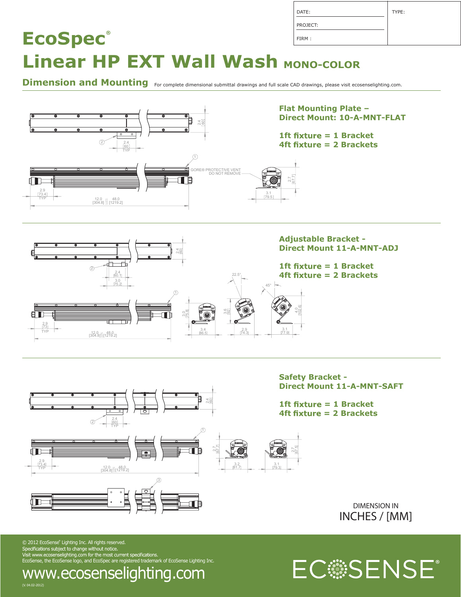| DATE:    | TYPE: |
|----------|-------|
| PROJECT: |       |
| FIRM:    |       |

# **Linear HP EXT Wall Wash MONO-COLOR**

**EcoSpec®**

Dimension and Mounting For complete dimensional submittal drawings and full scale CAD drawings, please visit ecosenselighting.com.



© 2012 EcoSense Lighting Inc. All rights reserved. EcoSense, the EcoSense logo, and EcoSpec are registered trademark of EcoSense Lighting Inc.



(V. 04.02-2012) www.ecosenselighting.com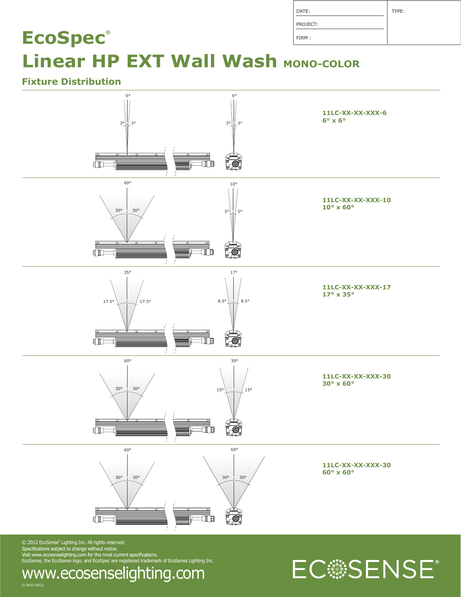| DATE:    | TYPE: |
|----------|-------|
| PROJECT: |       |
| FIRM:    |       |

## **EcoSpec® Linear HP EXT Wall Wash MONO-COLOR**

### **Fixture Distribution**



 $\odot$  2012 EcoSense $\degree$  Lighting Inc. All rights reserved. EcoSense, the EcoSense logo, and EcoSpec are registered trademark of EcoSense Lighting Inc.

# EC:SENSE®

(V. 04.02-2012) www.ecosenselighting.com